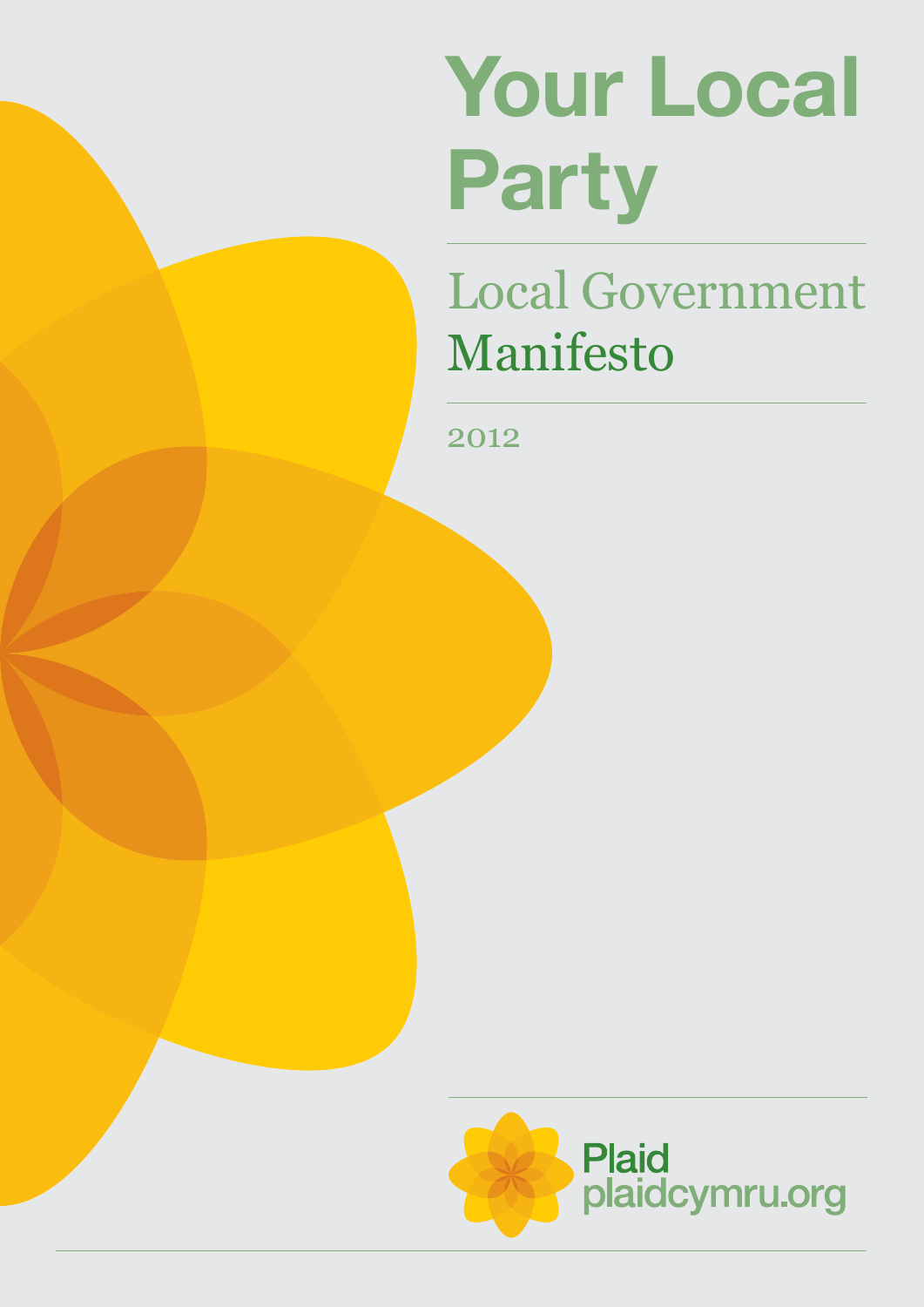# **Your Local Party**

## Local Government Manifesto

2012

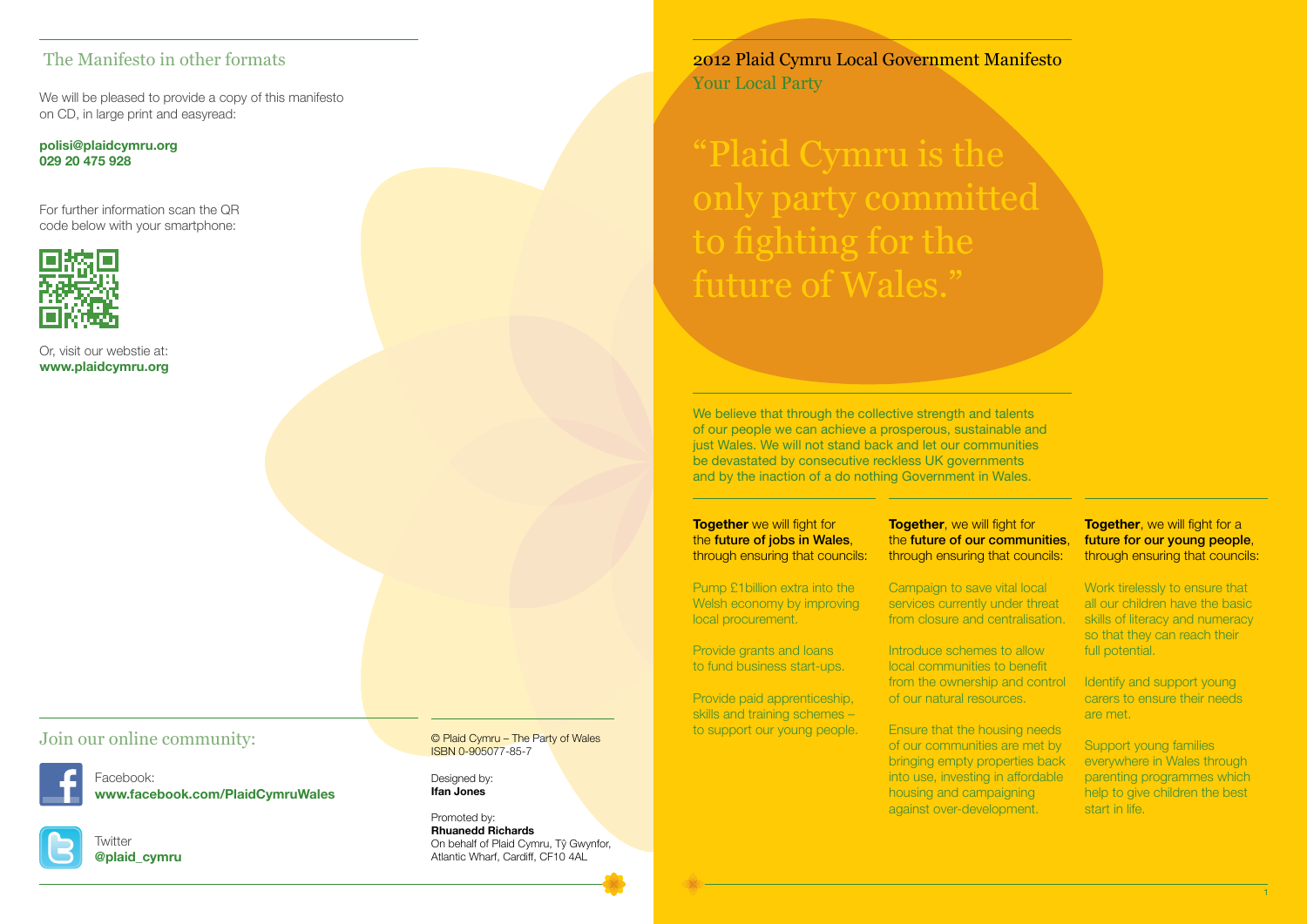"Plaid Cymru is the only party committed to fighting for the future of Wales."

2012 Plaid Cymru Local Government Manifesto Your Local Party

We believe that through the collective strength and talents of our people we can achieve a prosperous, sustainable and just Wales. We will not stand back and let our communities be devastated by consecutive reckless UK governments and by the inaction of a do nothing Government in Wales.

**Together** we will fight for the **future of jobs in Wales**. through ensuring that councils:

> Introduce schemes to allow local communities to benefit from the ownership and control of our natural resources.

Pump £1billion extra into the Welsh economy by improving local procurement.

Provide grants and loans to fund business start-ups.

#### **Together**, we will fight for a future for our young people, through ensuring that councils:

Provide paid apprenticeship, skills and training schemes – to support our young people. the **future of our communities**.

Identify and support young carers to ensure their needs are met.

through ensuring that councils:

Campaign to save vital local services currently under threat from closure and centralisation.

Ensure that the housing needs of our communities are met by bringing empty properties back into use, investing in affordable housing and campaigning against over-development.

## **Together**, we will fight for

Work tirelessly to ensure that all our children have the basic skills of literacy and numeracy so that they can reach their full potential.

Support young families everywhere in Wales through parenting programmes which help to give children the best start in life.

#### The Manifesto in other formats

#### Join our online community:



We will be pleased to provide a copy of this manifesto on CD, in large print and easyread:

**polisi@plaidcymru.org 029 20 475 928**

For further information scan the QR code below with your smartphone:



Facebook: **www.facebook.com/PlaidCymruWales**



Twitter **@plaid\_cymru** © Plaid Cymru – The Party of Wales ISBN 0-905077-85-7

Designed by: **Ifan Jones**

Promoted by: **Rhuanedd Richards** On behalf of Plaid Cymru, Tŷ Gwynfor, Atlantic Wharf, Cardiff, CF10 4AL

Or, visit our webstie at: **www.plaidcymru.org**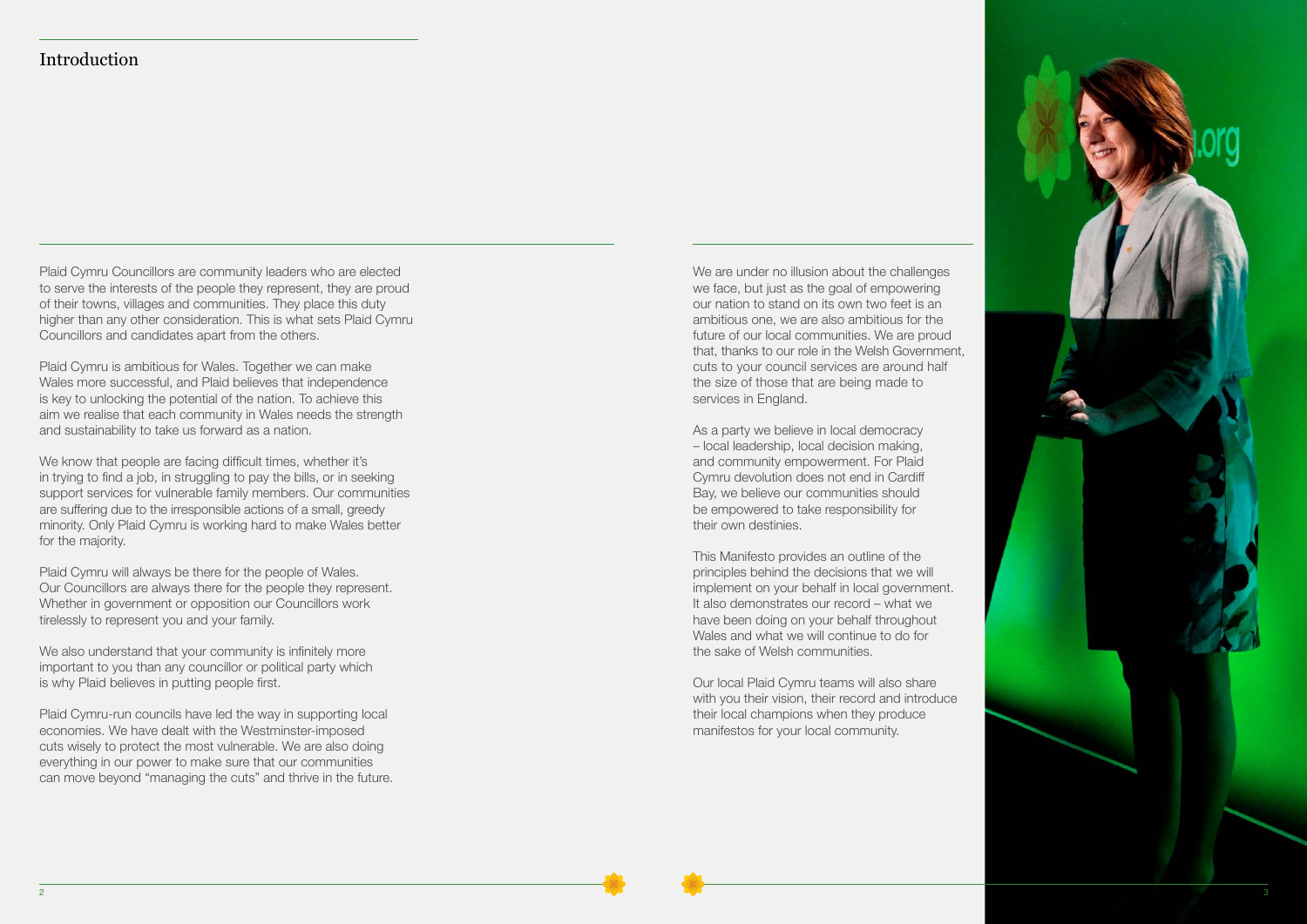#### Introduction

Plaid Cymru Councillors are community leaders who are elected to serve the interests of the people they represent, they are proud of their towns, villages and communities. They place this duty higher than any other consideration. This is what sets Plaid Cymru Councillors and candidates apart from the others.

Plaid Cymru is ambitious for Wales. Together we can make Wales more successful, and Plaid believes that independence is key to unlocking the potential of the nation. To achieve this aim we realise that each community in Wales needs the strength and sustainability to take us forward as a nation.

We also understand that your community is infinitely more important to you than any councillor or political party which is why Plaid believes in putting people first.

We know that people are facing difficult times, whether it's in trying to find a job, in struggling to pay the bills, or in seeking support services for vulnerable family members. Our communities are suffering due to the irresponsible actions of a small, greedy minority. Only Plaid Cymru is working hard to make Wales better for the majority.

Plaid Cymru will always be there for the people of Wales. Our Councillors are always there for the people they represent. Whether in government or opposition our Councillors work tirelessly to represent you and your family.

Plaid Cymru-run councils have led the way in supporting local economies. We have dealt with the Westminster-imposed cuts wisely to protect the most vulnerable. We are also doing everything in our power to make sure that our communities can move beyond "managing the cuts" and thrive in the future.

We are under no illusion about the challenges we face, but just as the goal of empowering our nation to stand on its own two feet is an ambitious one, we are also ambitious for the future of our local communities. We are proud that, thanks to our role in the Welsh Government, cuts to your council services are around half the size of those that are being made to services in England.

As a party we believe in local democracy – local leadership, local decision making, and community empowerment. For Plaid Cymru devolution does not end in Cardiff Bay, we believe our communities should be empowered to take responsibility for their own destinies.

This Manifesto provides an outline of the principles behind the decisions that we will implement on your behalf in local government. It also demonstrates our record – what we have been doing on your behalf throughout Wales and what we will continue to do for the sake of Welsh communities.

Our local Plaid Cymru teams will also share with you their vision, their record and introduce their local champions when they produce manifestos for your local community.

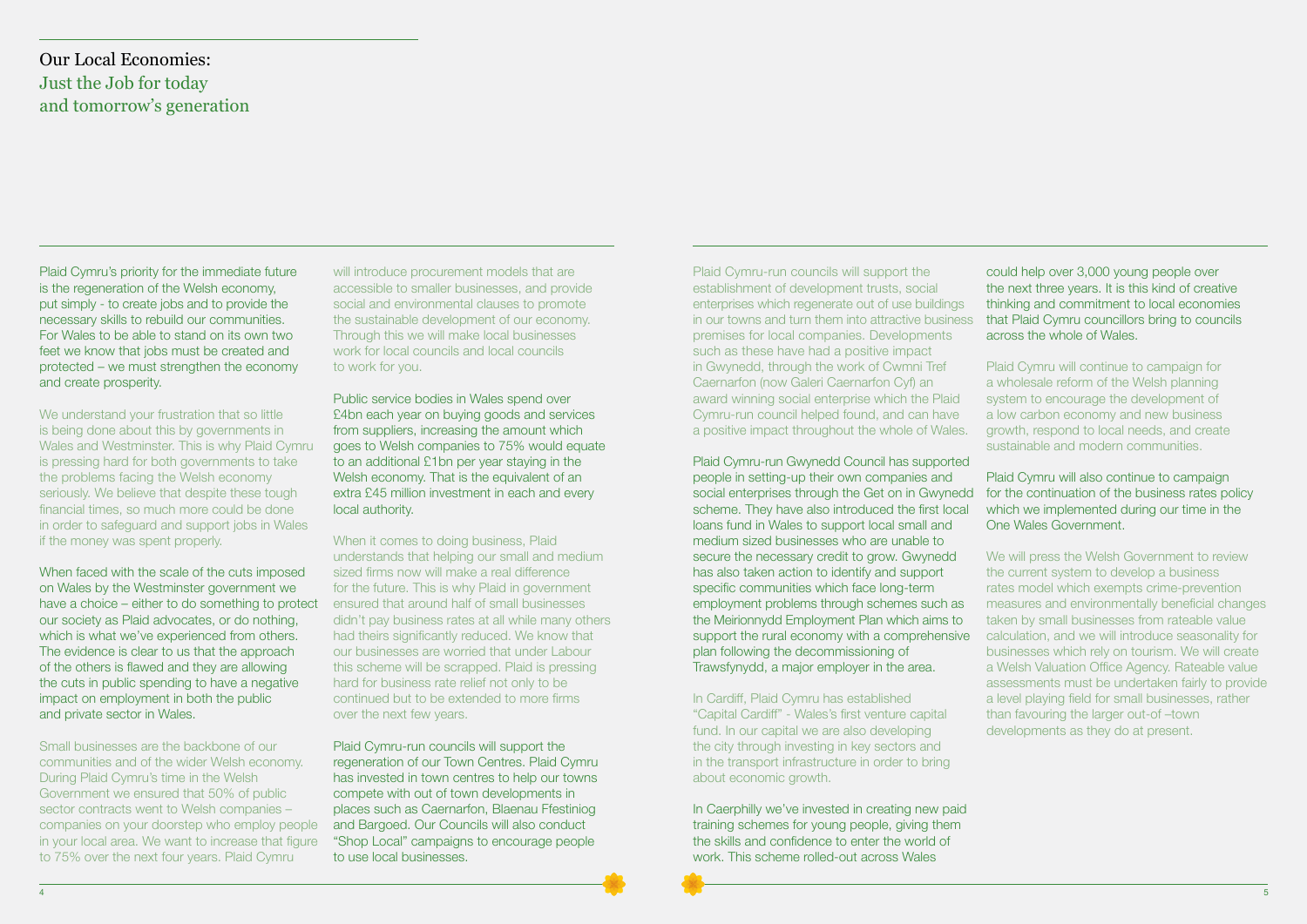Plaid Cymru's priority for the immediate future is the regeneration of the Welsh economy, put simply - to create jobs and to provide the necessary skills to rebuild our communities. For Wales to be able to stand on its own two feet we know that jobs must be created and protected – we must strengthen the economy and create prosperity.

We understand your frustration that so little is being done about this by governments in Wales and Westminster. This is why Plaid Cymru is pressing hard for both governments to take the problems facing the Welsh economy seriously. We believe that despite these tough financial times, so much more could be done in order to safeguard and support jobs in Wales if the money was spent properly.

will introduce procurement models that are accessible to smaller businesses, and provide social and environmental clauses to promote the sustainable development of our economy. Through this we will make local businesses work for local councils and local councils to work for you.

When faced with the scale of the cuts imposed on Wales by the Westminster government we have a choice – either to do something to protect our society as Plaid advocates, or do nothing, which is what we've experienced from others. The evidence is clear to us that the approach of the others is flawed and they are allowing the cuts in public spending to have a negative impact on employment in both the public and private sector in Wales.

Small businesses are the backbone of our communities and of the wider Welsh economy. During Plaid Cymru's time in the Welsh Government we ensured that 50% of public sector contracts went to Welsh companies – companies on your doorstep who employ people in your local area. We want to increase that figure to 75% over the next four years. Plaid Cymru

Public service bodies in Wales spend over £4bn each year on buying goods and services from suppliers, increasing the amount which goes to Welsh companies to 75% would equate to an additional £1bn per year staying in the Welsh economy. That is the equivalent of an extra £45 million investment in each and every local authority.

When it comes to doing business, Plaid understands that helping our small and medium sized firms now will make a real difference for the future. This is why Plaid in government ensured that around half of small businesses didn't pay business rates at all while many others had theirs significantly reduced. We know that our businesses are worried that under Labour this scheme will be scrapped. Plaid is pressing hard for business rate relief not only to be continued but to be extended to more firms over the next few years.

Plaid Cymru-run councils will support the regeneration of our Town Centres. Plaid Cymru has invested in town centres to help our towns compete with out of town developments in places such as Caernarfon, Blaenau Ffestiniog and Bargoed. Our Councils will also conduct "Shop Local" campaigns to encourage people to use local businesses.

Plaid Cymru-run councils will support the establishment of development trusts, social enterprises which regenerate out of use buildings in our towns and turn them into attractive business premises for local companies. Developments such as these have had a positive impact in Gwynedd, through the work of Cwmni Tref Caernarfon (now Galeri Caernarfon Cyf) an award winning social enterprise which the Plaid Cymru-run council helped found, and can have a positive impact throughout the whole of Wales. could help over 3,000 young people over the next three years. It is this kind of creative thinking and commitment to local economies that Plaid Cymru councillors bring to councils across the whole of Wales. Plaid Cymru will continue to campaign for a wholesale reform of the Welsh planning system to encourage the development of a low carbon economy and new business growth, respond to local needs, and create sustainable and modern communities.

the city through investing in key sectors and in the transport infrastructure in order to bring about economic growth.

In Caerphilly we've invested in creating new paid training schemes for young people, giving them the skills and confidence to enter the world of work. This scheme rolled-out across Wales

Plaid Cymru-run Gwynedd Council has supported people in setting-up their own companies and social enterprises through the Get on in Gwynedd scheme. They have also introduced the first local loans fund in Wales to support local small and medium sized businesses who are unable to secure the necessary credit to grow. Gwynedd has also taken action to identify and support specific communities which face long-term employment problems through schemes such as the Meirionnydd Employment Plan which aims to support the rural economy with a comprehensive plan following the decommissioning of Trawsfynydd, a major employer in the area. In Cardiff, Plaid Cymru has established "Capital Cardiff" - Wales's first venture capital fund. In our capital we are also developing Plaid Cymru will also continue to campaign for the continuation of the business rates policy which we implemented during our time in the One Wales Government. We will press the Welsh Government to review the current system to develop a business rates model which exempts crime-prevention measures and environmentally beneficial changes taken by small businesses from rateable value calculation, and we will introduce seasonality for businesses which rely on tourism. We will create a Welsh Valuation Office Agency. Rateable value assessments must be undertaken fairly to provide a level playing field for small businesses, rather than favouring the larger out-of –town developments as they do at present.

#### Our Local Economies: Just the Job for today and tomorrow's generation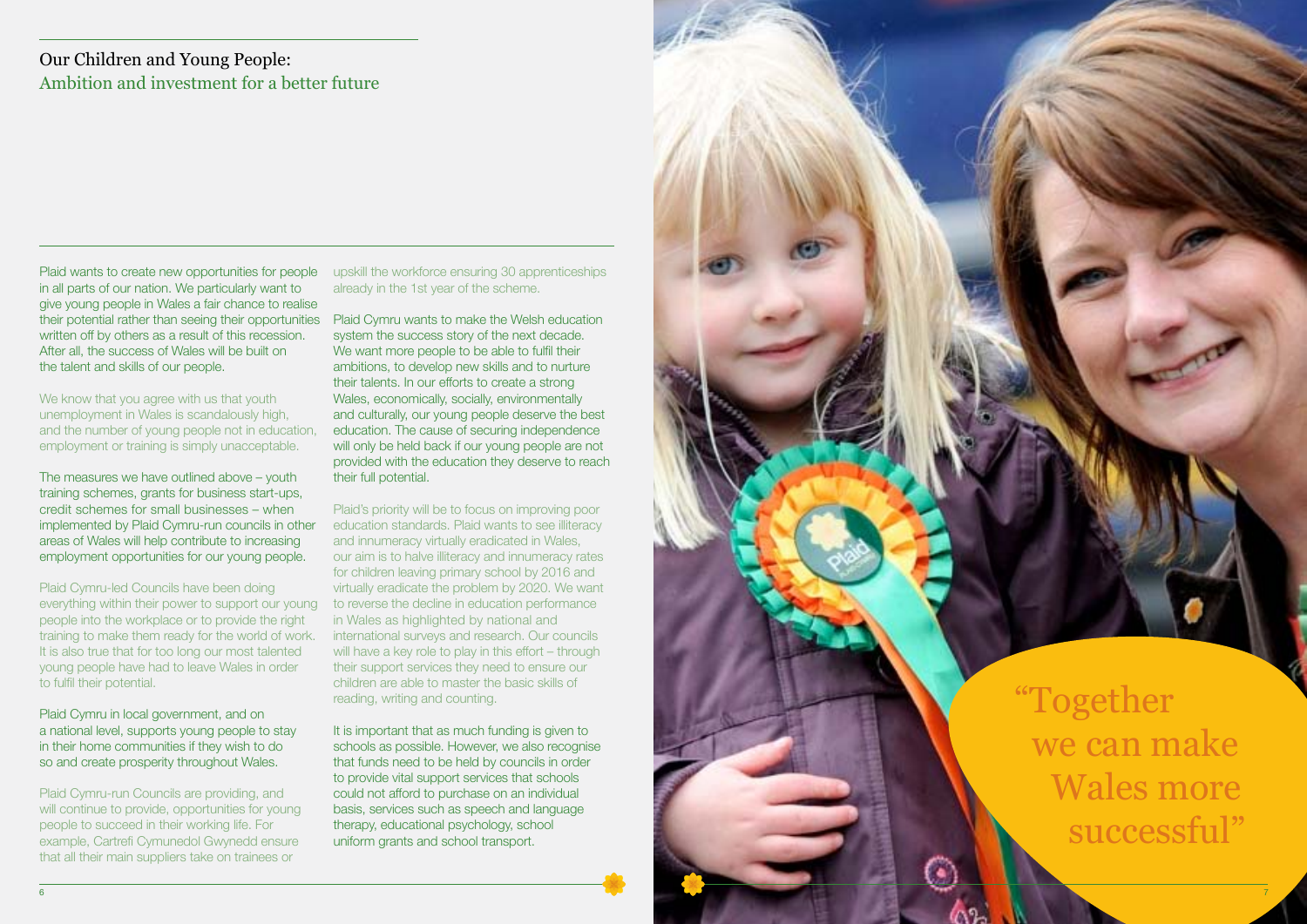"Together we can make Wales more successful"

Plaid wants to create new opportunities for people in all parts of our nation. We particularly want to give young people in Wales a fair chance to realise their potential rather than seeing their opportunities written off by others as a result of this recession. After all, the success of Wales will be built on the talent and skills of our people.

We know that you agree with us that youth unemployment in Wales is scandalously high, and the number of young people not in education, employment or training is simply unacceptable.

The measures we have outlined above – youth training schemes, grants for business start-ups, credit schemes for small businesses – when implemented by Plaid Cymru-run councils in other areas of Wales will help contribute to increasing employment opportunities for our young people.

Plaid Cymru-led Councils have been doing everything within their power to support our young people into the workplace or to provide the right training to make them ready for the world of work. It is also true that for too long our most talented young people have had to leave Wales in order to fulfil their potential.

Plaid Cymru in local government, and on a national level, supports young people to stay in their home communities if they wish to do so and create prosperity throughout Wales.

Plaid Cymru-run Councils are providing, and will continue to provide, opportunities for young people to succeed in their working life. For example, Cartrefi Cymunedol Gwynedd ensure that all their main suppliers take on trainees or

It is important that as much funding is given to schools as possible. However, we also recognise that funds need to be held by councils in order to provide vital support services that schools could not afford to purchase on an individual basis, services such as speech and language therapy, educational psychology, school uniform grants and school transport.

upskill the workforce ensuring 30 apprenticeships already in the 1st year of the scheme.

Plaid Cymru wants to make the Welsh education system the success story of the next decade. We want more people to be able to fulfil their ambitions, to develop new skills and to nurture their talents. In our efforts to create a strong Wales, economically, socially, environmentally and culturally, our young people deserve the best education. The cause of securing independence will only be held back if our young people are not provided with the education they deserve to reach their full potential.

Plaid's priority will be to focus on improving poor education standards. Plaid wants to see illiteracy and innumeracy virtually eradicated in Wales, our aim is to halve illiteracy and innumeracy rates for children leaving primary school by 2016 and virtually eradicate the problem by 2020. We want to reverse the decline in education performance in Wales as highlighted by national and international surveys and research. Our councils will have a key role to play in this effort – through their support services they need to ensure our children are able to master the basic skills of reading, writing and counting.

### Our Children and Young People: Ambition and investment for a better future

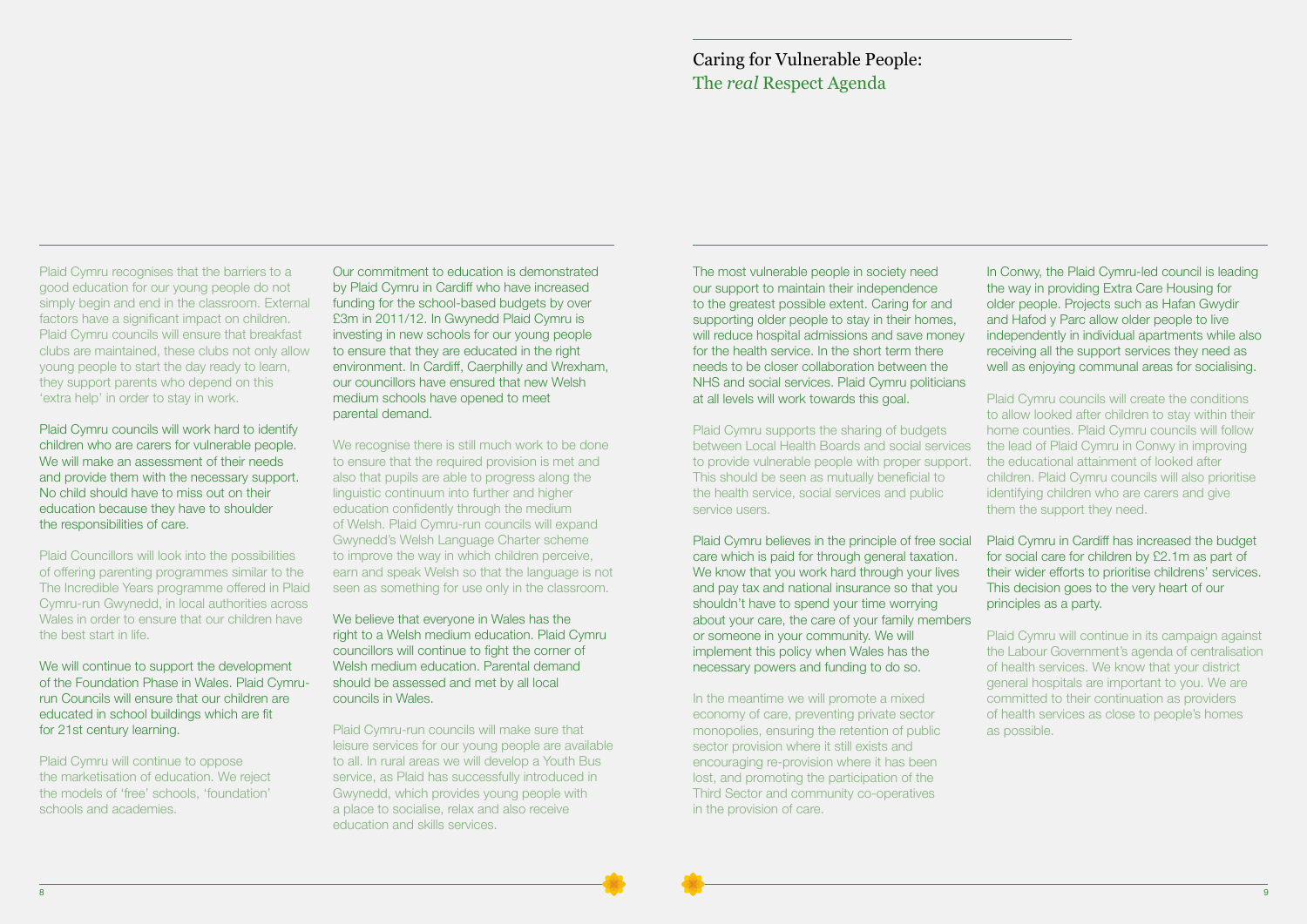The most vulnerable people in society need our support to maintain their independence to the greatest possible extent. Caring for and supporting older people to stay in their homes, will reduce hospital admissions and save money for the health service. In the short term there needs to be closer collaboration between the NHS and social services. Plaid Cymru politicians at all levels will work towards this goal.

Plaid Cymru supports the sharing of budgets between Local Health Boards and social services to provide vulnerable people with proper support. This should be seen as mutually beneficial to the health service, social services and public service users.

In the meantime we will promote a mixed economy of care, preventing private sector monopolies, ensuring the retention of public sector provision where it still exists and encouraging re-provision where it has been lost, and promoting the participation of the Third Sector and community co-operatives in the provision of care.

Plaid Cymru believes in the principle of free social care which is paid for through general taxation. We know that you work hard through your lives and pay tax and national insurance so that you shouldn't have to spend your time worrying about your care, the care of your family members or someone in your community. We will implement this policy when Wales has the necessary powers and funding to do so. Plaid Cymru in Cardiff has increased the budget for social care for children by £2.1m as part of their wider efforts to prioritise childrens' services. This decision goes to the very heart of our principles as a party. Plaid Cymru will continue in its campaign against the Labour Government's agenda of centralisation of health services. We know that your district

In Conwy, the Plaid Cymru-led council is leading the way in providing Extra Care Housing for older people. Projects such as Hafan Gwydir and Hafod y Parc allow older people to live independently in individual apartments while also receiving all the support services they need as well as enjoying communal areas for socialising.

Plaid Cymru councils will create the conditions to allow looked after children to stay within their home counties. Plaid Cymru councils will follow the lead of Plaid Cymru in Conwy in improving the educational attainment of looked after children. Plaid Cymru councils will also prioritise identifying children who are carers and give them the support they need.

We will continue to support the development of the Foundation Phase in Wales. Plaid Cymrurun Councils will ensure that our children are educated in school buildings which are fit for 21st century learning.

We recognise there is still much work to be done to ensure that the required provision is met and also that pupils are able to progress along the linguistic continuum into further and higher education confidently through the medium of Welsh. Plaid Cymru-run councils will expand Gwynedd's Welsh Language Charter scheme to improve the way in which children perceive, earn and speak Welsh so that the language is not seen as something for use only in the classroom.

> general hospitals are important to you. We are committed to their continuation as providers of health services as close to people's homes as possible.

#### Caring for Vulnerable People: The *real* Respect Agenda

Plaid Cymru recognises that the barriers to a good education for our young people do not simply begin and end in the classroom. External factors have a significant impact on children. Plaid Cymru councils will ensure that breakfast clubs are maintained, these clubs not only allow young people to start the day ready to learn, they support parents who depend on this 'extra help' in order to stay in work.

Plaid Cymru councils will work hard to identify children who are carers for vulnerable people. We will make an assessment of their needs and provide them with the necessary support. No child should have to miss out on their education because they have to shoulder the responsibilities of care.

Plaid Councillors will look into the possibilities of offering parenting programmes similar to the The Incredible Years programme offered in Plaid Cymru-run Gwynedd, in local authorities across Wales in order to ensure that our children have the best start in life.

Plaid Cymru will continue to oppose the marketisation of education. We reject the models of 'free' schools, 'foundation' schools and academies.

Our commitment to education is demonstrated by Plaid Cymru in Cardiff who have increased funding for the school-based budgets by over £3m in 2011/12. In Gwynedd Plaid Cymru is investing in new schools for our young people to ensure that they are educated in the right environment. In Cardiff, Caerphilly and Wrexham, our councillors have ensured that new Welsh medium schools have opened to meet parental demand.

We believe that everyone in Wales has the right to a Welsh medium education. Plaid Cymru councillors will continue to fight the corner of Welsh medium education. Parental demand should be assessed and met by all local councils in Wales.

Plaid Cymru-run councils will make sure that leisure services for our young people are available to all. In rural areas we will develop a Youth Bus service, as Plaid has successfully introduced in Gwynedd, which provides young people with a place to socialise, relax and also receive education and skills services.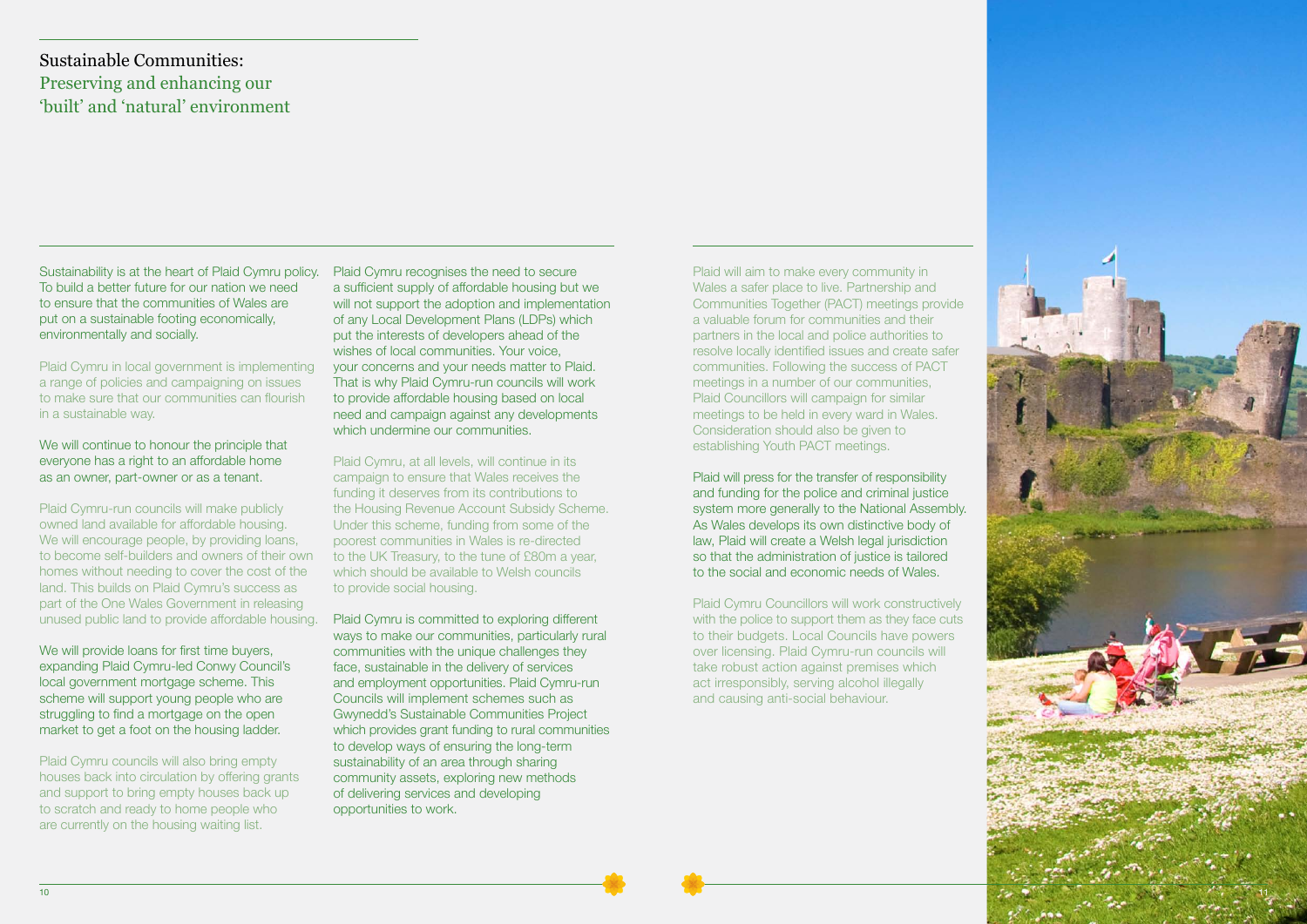Plaid Cymru, at all levels, will continue in its campaign to ensure that Wales receives the funding it deserves from its contributions to the Housing Revenue Account Subsidy Scheme. Under this scheme, funding from some of the poorest communities in Wales is re-directed to the UK Treasury, to the tune of £80m a year, which should be available to Welsh councils to provide social housing.

Plaid Cymru is committed to exploring different ways to make our communities, particularly rural communities with the unique challenges they face, sustainable in the delivery of services and employment opportunities. Plaid Cymru-run Councils will implement schemes such as Gwynedd's Sustainable Communities Project which provides grant funding to rural communities to develop ways of ensuring the long-term sustainability of an area through sharing community assets, exploring new methods of delivering services and developing opportunities to work.

We will continue to honour the principle that everyone has a right to an affordable home as an owner, part-owner or as a tenant.

Plaid will aim to make every community in Wales a safer place to live. Partnership and Communities Together (PACT) meetings provide a valuable forum for communities and their partners in the local and police authorities to resolve locally identified issues and create safer communities. Following the success of PACT meetings in a number of our communities, Plaid Councillors will campaign for similar meetings to be held in every ward in Wales. Consideration should also be given to establishing Youth PACT meetings.

Plaid will press for the transfer of responsibility and funding for the police and criminal justice system more generally to the National Assembly. As Wales develops its own distinctive body of law, Plaid will create a Welsh legal jurisdiction so that the administration of justice is tailored to the social and economic needs of Wales.

Plaid Cymru Councillors will work constructively with the police to support them as they face cuts to their budgets. Local Councils have powers over licensing. Plaid Cymru-run councils will take robust action against premises which act irresponsibly, serving alcohol illegally and causing anti-social behaviour.

Sustainability is at the heart of Plaid Cymru policy. To build a better future for our nation we need to ensure that the communities of Wales are put on a sustainable footing economically, environmentally and socially.

Plaid Cymru in local government is implementing a range of policies and campaigning on issues to make sure that our communities can flourish in a sustainable way.

Plaid Cymru-run councils will make publicly owned land available for affordable housing. We will encourage people, by providing loans, to become self-builders and owners of their own homes without needing to cover the cost of the land. This builds on Plaid Cymru's success as part of the One Wales Government in releasing unused public land to provide affordable housing.

We will provide loans for first time buyers, expanding Plaid Cymru-led Conwy Council's local government mortgage scheme. This scheme will support young people who are struggling to find a mortgage on the open market to get a foot on the housing ladder.

Plaid Cymru councils will also bring empty houses back into circulation by offering grants and support to bring empty houses back up to scratch and ready to home people who are currently on the housing waiting list.

Plaid Cymru recognises the need to secure a sufficient supply of affordable housing but we will not support the adoption and implementation of any Local Development Plans (LDPs) which put the interests of developers ahead of the wishes of local communities. Your voice, your concerns and your needs matter to Plaid. That is why Plaid Cymru-run councils will work to provide affordable housing based on local need and campaign against any developments which undermine our communities

### Sustainable Communities: Preserving and enhancing our 'built' and 'natural' environment

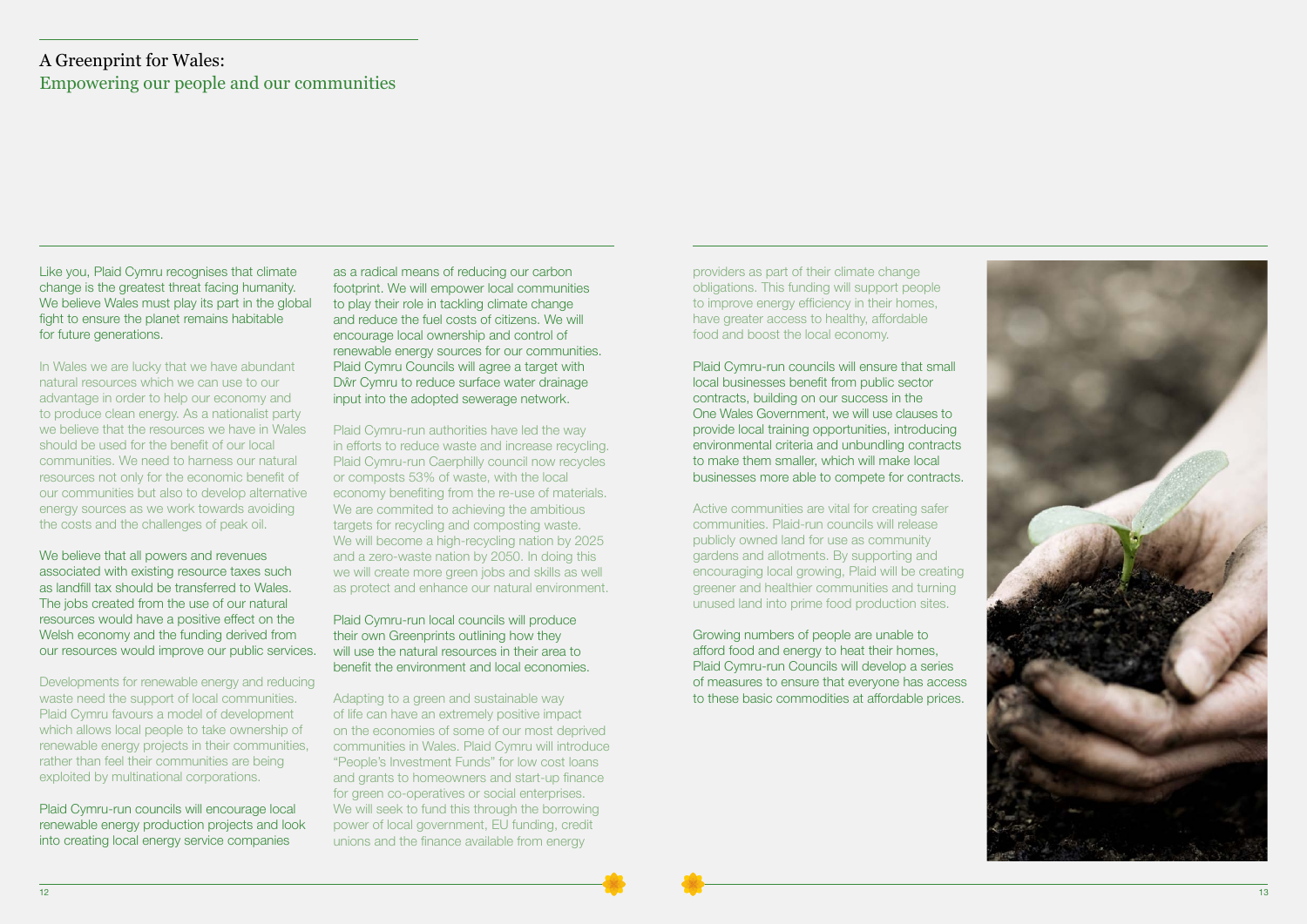Like you, Plaid Cymru recognises that climate change is the greatest threat facing humanity. We believe Wales must play its part in the global fight to ensure the planet remains habitable for future generations.

In Wales we are lucky that we have abundant natural resources which we can use to our advantage in order to help our economy and to produce clean energy. As a nationalist party we believe that the resources we have in Wales should be used for the benefit of our local communities. We need to harness our natural resources not only for the economic benefit of our communities but also to develop alternative energy sources as we work towards avoiding the costs and the challenges of peak oil.

We believe that all powers and revenues associated with existing resource taxes such as landfill tax should be transferred to Wales. The jobs created from the use of our natural resources would have a positive effect on the Welsh economy and the funding derived from our resources would improve our public services.

Developments for renewable energy and reducing waste need the support of local communities. Plaid Cymru favours a model of development which allows local people to take ownership of renewable energy projects in their communities, rather than feel their communities are being exploited by multinational corporations.

Plaid Cymru-run councils will encourage local renewable energy production projects and look into creating local energy service companies

as a radical means of reducing our carbon footprint. We will empower local communities to play their role in tackling climate change and reduce the fuel costs of citizens. We will encourage local ownership and control of renewable energy sources for our communities. Plaid Cymru Councils will agree a target with Dŵr Cymru to reduce surface water drainage input into the adopted sewerage network.

Plaid Cymru-run authorities have led the way in efforts to reduce waste and increase recycling. Plaid Cymru-run Caerphilly council now recycles or composts 53% of waste, with the local economy benefiting from the re-use of materials. We are commited to achieving the ambitious targets for recycling and composting waste. We will become a high-recycling nation by 2025 and a zero-waste nation by 2050. In doing this we will create more green jobs and skills as well as protect and enhance our natural environment.

#### Plaid Cymru-run local councils will produce their own Greenprints outlining how they will use the natural resources in their area to benefit the environment and local economies.

Adapting to a green and sustainable way of life can have an extremely positive impact on the economies of some of our most deprived communities in Wales. Plaid Cymru will introduce "People's Investment Funds" for low cost loans and grants to homeowners and start-up finance for green co-operatives or social enterprises. We will seek to fund this through the borrowing power of local government, EU funding, credit unions and the finance available from energy

providers as part of their climate change obligations. This funding will support people to improve energy efficiency in their homes, have greater access to healthy, affordable food and boost the local economy.

Plaid Cymru-run councils will ensure that small local businesses benefit from public sector contracts, building on our success in the One Wales Government, we will use clauses to provide local training opportunities, introducing environmental criteria and unbundling contracts to make them smaller, which will make local businesses more able to compete for contracts.

Active communities are vital for creating safer communities. Plaid-run councils will release publicly owned land for use as community gardens and allotments. By supporting and encouraging local growing, Plaid will be creating greener and healthier communities and turning unused land into prime food production sites.

Growing numbers of people are unable to afford food and energy to heat their homes, Plaid Cymru-run Councils will develop a series of measures to ensure that everyone has access to these basic commodities at affordable prices.



### A Greenprint for Wales: Empowering our people and our communities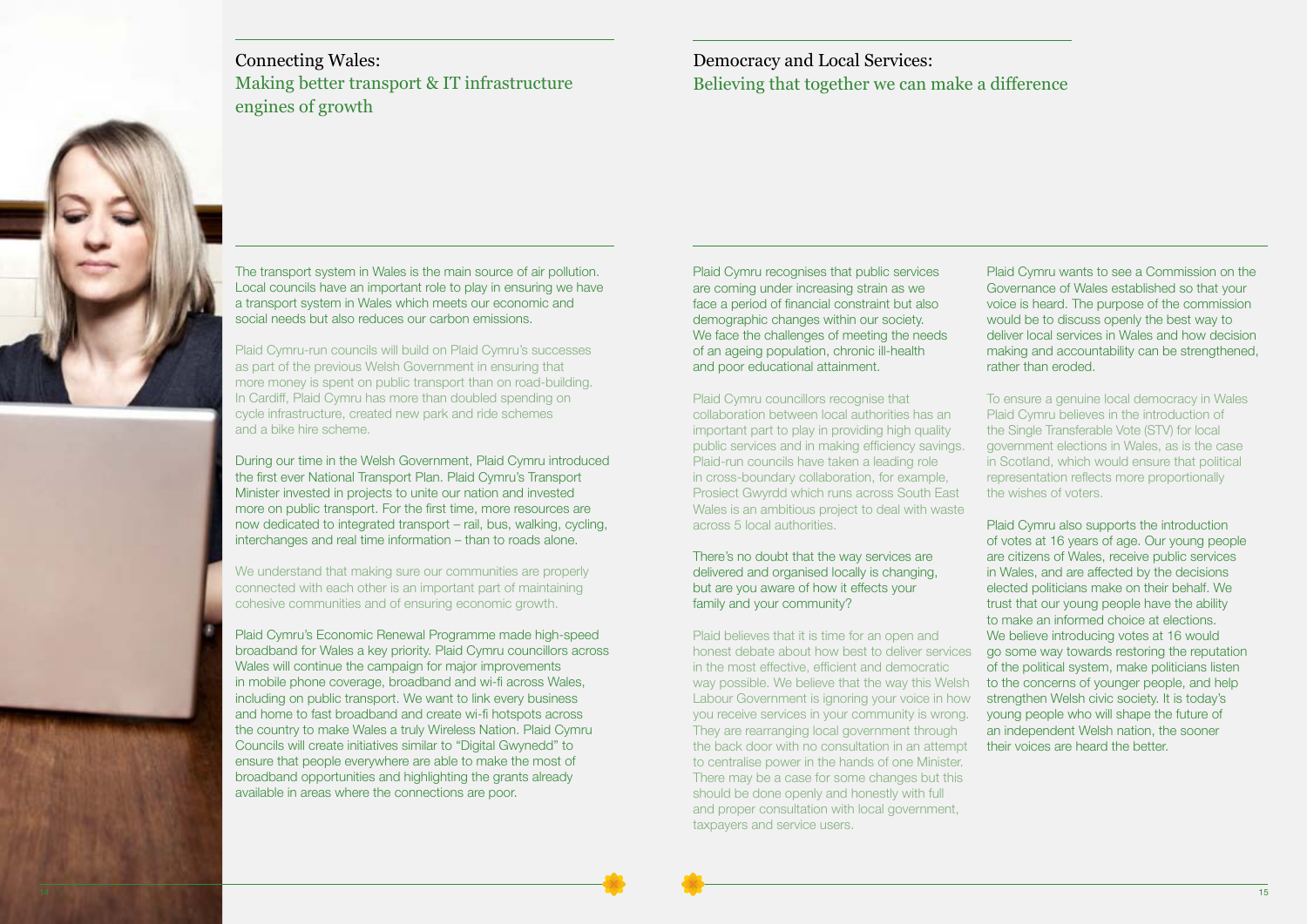The transport system in Wales is the main source of air pollution. Local councils have an important role to play in ensuring we have a transport system in Wales which meets our economic and social needs but also reduces our carbon emissions.

Plaid Cymru-run councils will build on Plaid Cymru's successes as part of the previous Welsh Government in ensuring that more money is spent on public transport than on road-building. In Cardiff, Plaid Cymru has more than doubled spending on cycle infrastructure, created new park and ride schemes and a bike hire scheme.

During our time in the Welsh Government, Plaid Cymru introduced the first ever National Transport Plan. Plaid Cymru's Transport Minister invested in projects to unite our nation and invested more on public transport. For the first time, more resources are now dedicated to integrated transport – rail, bus, walking, cycling, interchanges and real time information – than to roads alone.

We understand that making sure our communities are properly connected with each other is an important part of maintaining cohesive communities and of ensuring economic growth.

Plaid Cymru's Economic Renewal Programme made high-speed broadband for Wales a key priority. Plaid Cymru councillors across Wales will continue the campaign for major improvements in mobile phone coverage, broadband and wi-fi across Wales, including on public transport. We want to link every business and home to fast broadband and create wi-fi hotspots across the country to make Wales a truly Wireless Nation. Plaid Cymru Councils will create initiatives similar to "Digital Gwynedd" to ensure that people everywhere are able to make the most of broadband opportunities and highlighting the grants already available in areas where the connections are poor.





Plaid Cymru recognises that public services are coming under increasing strain as we face a period of financial constraint but also demographic changes within our society. We face the challenges of meeting the needs of an ageing population, chronic ill-health and poor educational attainment.

Plaid Cymru councillors recognise that collaboration between local authorities has an important part to play in providing high quality public services and in making efficiency savings. Plaid-run councils have taken a leading role in cross-boundary collaboration, for example, Prosiect Gwyrdd which runs across South East Wales is an ambitious project to deal with waste across 5 local authorities.

There's no doubt that the way services are delivered and organised locally is changing, but are you aware of how it effects your family and your community?

Plaid believes that it is time for an open and honest debate about how best to deliver services in the most effective, efficient and democratic way possible. We believe that the way this Welsh Labour Government is ignoring your voice in how you receive services in your community is wrong. They are rearranging local government through the back door with no consultation in an attempt to centralise power in the hands of one Minister. There may be a case for some changes but this should be done openly and honestly with full and proper consultation with local government, taxpayers and service users.

Plaid Cymru wants to see a Commission on the Governance of Wales established so that your voice is heard. The purpose of the commission would be to discuss openly the best way to deliver local services in Wales and how decision making and accountability can be strengthened, rather than eroded.

To ensure a genuine local democracy in Wales Plaid Cymru believes in the introduction of the Single Transferable Vote (STV) for local government elections in Wales, as is the case in Scotland, which would ensure that political representation reflects more proportionally the wishes of voters.

Plaid Cymru also supports the introduction of votes at 16 years of age. Our young people are citizens of Wales, receive public services in Wales, and are affected by the decisions elected politicians make on their behalf. We trust that our young people have the ability to make an informed choice at elections. We believe introducing votes at 16 would go some way towards restoring the reputation of the political system, make politicians listen to the concerns of younger people, and help strengthen Welsh civic society. It is today's young people who will shape the future of an independent Welsh nation, the sooner their voices are heard the better.

#### Democracy and Local Services: Believing that together we can make a difference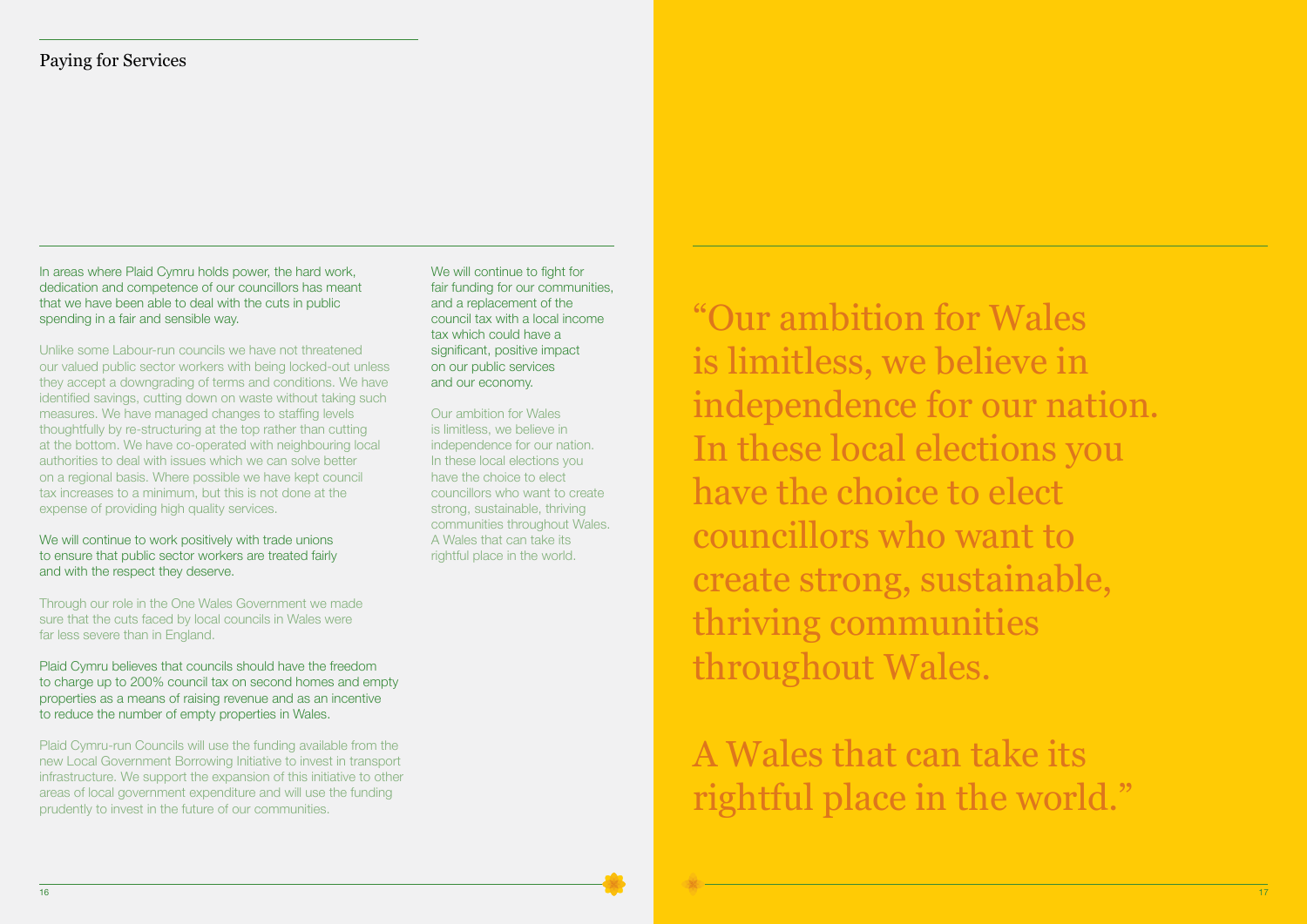In areas where Plaid Cymru holds power, the hard work, dedication and competence of our councillors has meant that we have been able to deal with the cuts in public spending in a fair and sensible way.

We will continue to work positively with trade unions to ensure that public sector workers are treated fairly and with the respect they deserve.

Unlike some Labour-run councils we have not threatened our valued public sector workers with being locked-out unless they accept a downgrading of terms and conditions. We have identified savings, cutting down on waste without taking such measures. We have managed changes to staffing levels thoughtfully by re-structuring at the top rather than cutting at the bottom. We have co-operated with neighbouring local authorities to deal with issues which we can solve better on a regional basis. Where possible we have kept council tax increases to a minimum, but this is not done at the expense of providing high quality services.

Through our role in the One Wales Government we made sure that the cuts faced by local councils in Wales were far less severe than in England.

Plaid Cymru believes that councils should have the freedom to charge up to 200% council tax on second homes and empty properties as a means of raising revenue and as an incentive to reduce the number of empty properties in Wales.

Plaid Cymru-run Councils will use the funding available from the new Local Government Borrowing Initiative to invest in transport infrastructure. We support the expansion of this initiative to other areas of local government expenditure and will use the funding prudently to invest in the future of our communities.

We will continue to fight for fair funding for our communities, and a replacement of the council tax with a local income tax which could have a significant, positive impact on our public services and our economy.

Our ambition for Wales is limitless, we believe in independence for our nation. In these local elections you have the choice to elect councillors who want to create strong, sustainable, thriving communities throughout Wales. A Wales that can take its rightful place in the world.

Paying for Services

"Our ambition for Wales is limitless, we believe in independence for our nation. In these local elections you have the choice to elect councillors who want to create strong, sustainable, thriving communities throughout Wales.

A Wales that can take its rightful place in the world."